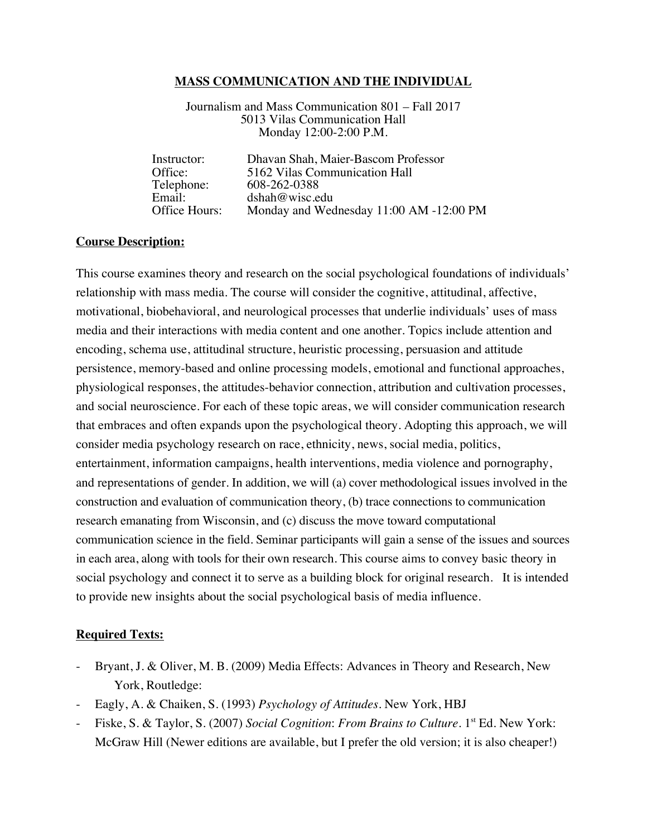#### **MASS COMMUNICATION AND THE INDIVIDUAL**

Journalism and Mass Communication 801 – Fall 2017 5013 Vilas Communication Hall Monday 12:00-2:00 P.M.

| Instructor:   | Dhavan Shah, Maier-Bascom Professor     |
|---------------|-----------------------------------------|
| Office:       | 5162 Vilas Communication Hall           |
| Telephone:    | 608-262-0388                            |
| Email:        | dshah@wise.edu                          |
| Office Hours: | Monday and Wednesday 11:00 AM -12:00 PM |
|               |                                         |

#### **Course Description:**

This course examines theory and research on the social psychological foundations of individuals' relationship with mass media. The course will consider the cognitive, attitudinal, affective, motivational, biobehavioral, and neurological processes that underlie individuals' uses of mass media and their interactions with media content and one another. Topics include attention and encoding, schema use, attitudinal structure, heuristic processing, persuasion and attitude persistence, memory-based and online processing models, emotional and functional approaches, physiological responses, the attitudes-behavior connection, attribution and cultivation processes, and social neuroscience. For each of these topic areas, we will consider communication research that embraces and often expands upon the psychological theory. Adopting this approach, we will consider media psychology research on race, ethnicity, news, social media, politics, entertainment, information campaigns, health interventions, media violence and pornography, and representations of gender. In addition, we will (a) cover methodological issues involved in the construction and evaluation of communication theory, (b) trace connections to communication research emanating from Wisconsin, and (c) discuss the move toward computational communication science in the field. Seminar participants will gain a sense of the issues and sources in each area, along with tools for their own research. This course aims to convey basic theory in social psychology and connect it to serve as a building block for original research. It is intended to provide new insights about the social psychological basis of media influence.

#### **Required Texts:**

- Bryant, J. & Oliver, M. B. (2009) Media Effects: Advances in Theory and Research, New York, Routledge:
- Eagly, A. & Chaiken, S. (1993) *Psychology of Attitudes*. New York, HBJ
- Fiske, S. & Taylor, S. (2007) *Social Cognition: From Brains to Culture*. 1<sup>st</sup> Ed. New York: McGraw Hill (Newer editions are available, but I prefer the old version; it is also cheaper!)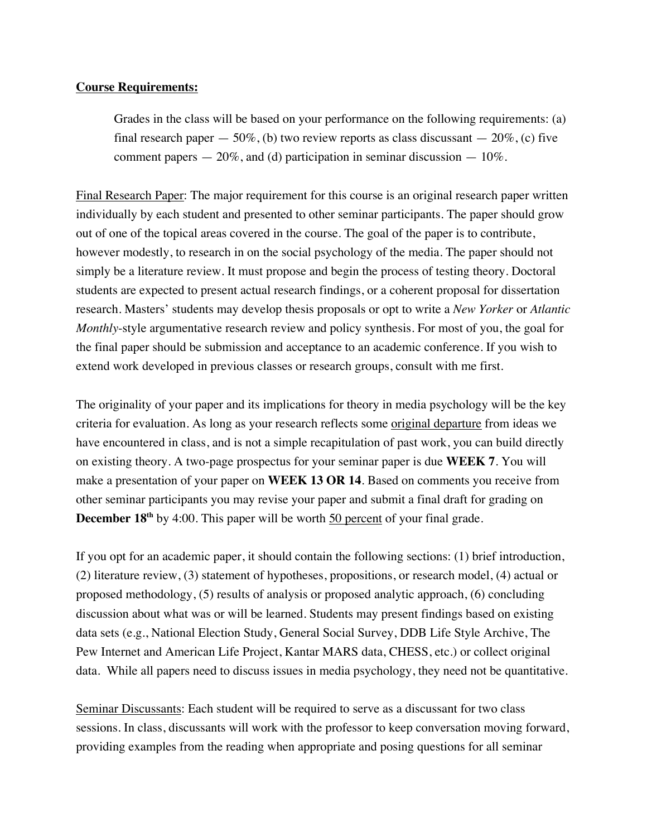### **Course Requirements:**

Grades in the class will be based on your performance on the following requirements: (a) final research paper  $-50\%$ , (b) two review reports as class discussant  $-20\%$ , (c) five comment papers  $-20\%$ , and (d) participation in seminar discussion  $-10\%$ .

Final Research Paper: The major requirement for this course is an original research paper written individually by each student and presented to other seminar participants. The paper should grow out of one of the topical areas covered in the course. The goal of the paper is to contribute, however modestly, to research in on the social psychology of the media. The paper should not simply be a literature review. It must propose and begin the process of testing theory. Doctoral students are expected to present actual research findings, or a coherent proposal for dissertation research. Masters' students may develop thesis proposals or opt to write a *New Yorker* or *Atlantic Monthly*-style argumentative research review and policy synthesis. For most of you, the goal for the final paper should be submission and acceptance to an academic conference. If you wish to extend work developed in previous classes or research groups, consult with me first.

The originality of your paper and its implications for theory in media psychology will be the key criteria for evaluation. As long as your research reflects some original departure from ideas we have encountered in class, and is not a simple recapitulation of past work, you can build directly on existing theory. A two-page prospectus for your seminar paper is due **WEEK 7**. You will make a presentation of your paper on **WEEK 13 OR 14**. Based on comments you receive from other seminar participants you may revise your paper and submit a final draft for grading on **December 18<sup>th</sup>** by 4:00. This paper will be worth 50 percent of your final grade.

If you opt for an academic paper, it should contain the following sections: (1) brief introduction, (2) literature review, (3) statement of hypotheses, propositions, or research model, (4) actual or proposed methodology, (5) results of analysis or proposed analytic approach, (6) concluding discussion about what was or will be learned. Students may present findings based on existing data sets (e.g., National Election Study, General Social Survey, DDB Life Style Archive, The Pew Internet and American Life Project, Kantar MARS data, CHESS, etc.) or collect original data. While all papers need to discuss issues in media psychology, they need not be quantitative.

Seminar Discussants: Each student will be required to serve as a discussant for two class sessions. In class, discussants will work with the professor to keep conversation moving forward, providing examples from the reading when appropriate and posing questions for all seminar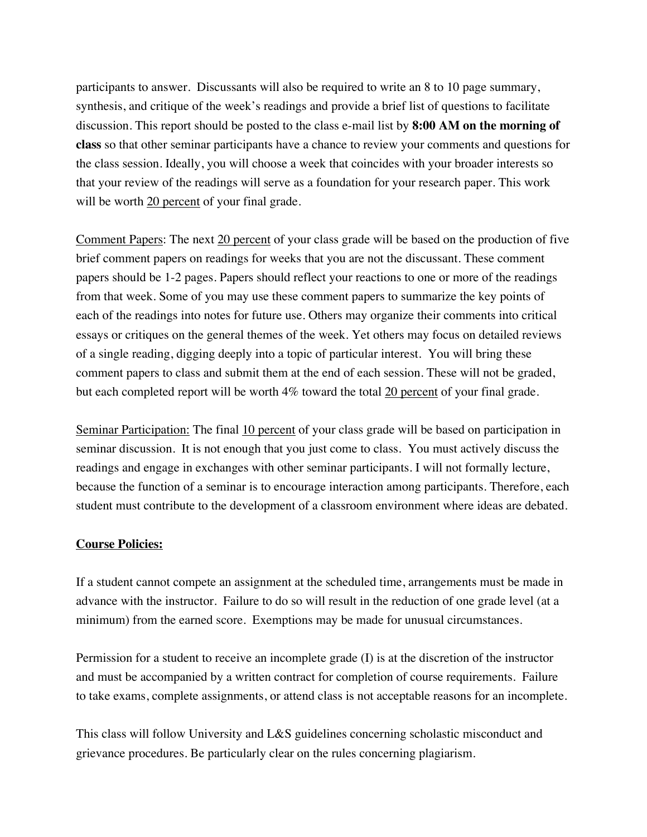participants to answer. Discussants will also be required to write an 8 to 10 page summary, synthesis, and critique of the week's readings and provide a brief list of questions to facilitate discussion. This report should be posted to the class e-mail list by **8:00 AM on the morning of class** so that other seminar participants have a chance to review your comments and questions for the class session. Ideally, you will choose a week that coincides with your broader interests so that your review of the readings will serve as a foundation for your research paper. This work will be worth 20 percent of your final grade.

Comment Papers: The next 20 percent of your class grade will be based on the production of five brief comment papers on readings for weeks that you are not the discussant. These comment papers should be 1-2 pages. Papers should reflect your reactions to one or more of the readings from that week. Some of you may use these comment papers to summarize the key points of each of the readings into notes for future use. Others may organize their comments into critical essays or critiques on the general themes of the week. Yet others may focus on detailed reviews of a single reading, digging deeply into a topic of particular interest. You will bring these comment papers to class and submit them at the end of each session. These will not be graded, but each completed report will be worth 4% toward the total 20 percent of your final grade.

Seminar Participation: The final 10 percent of your class grade will be based on participation in seminar discussion. It is not enough that you just come to class. You must actively discuss the readings and engage in exchanges with other seminar participants. I will not formally lecture, because the function of a seminar is to encourage interaction among participants. Therefore, each student must contribute to the development of a classroom environment where ideas are debated.

## **Course Policies:**

If a student cannot compete an assignment at the scheduled time, arrangements must be made in advance with the instructor. Failure to do so will result in the reduction of one grade level (at a minimum) from the earned score. Exemptions may be made for unusual circumstances.

Permission for a student to receive an incomplete grade (I) is at the discretion of the instructor and must be accompanied by a written contract for completion of course requirements. Failure to take exams, complete assignments, or attend class is not acceptable reasons for an incomplete.

This class will follow University and L&S guidelines concerning scholastic misconduct and grievance procedures. Be particularly clear on the rules concerning plagiarism.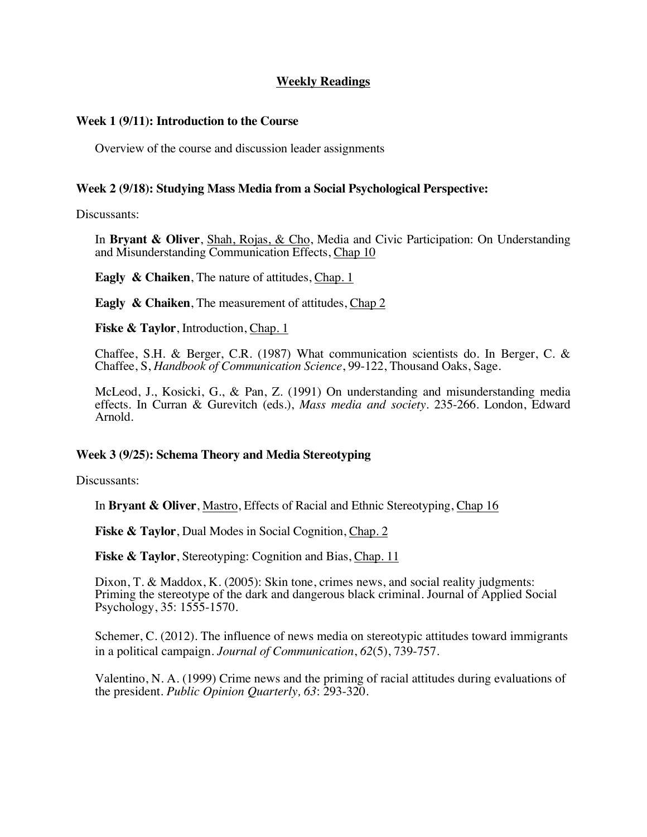## **Weekly Readings**

### **Week 1 (9/11): Introduction to the Course**

Overview of the course and discussion leader assignments

#### **Week 2 (9/18): Studying Mass Media from a Social Psychological Perspective:**

Discussants:

In **Bryant & Oliver**, Shah, Rojas, & Cho, Media and Civic Participation: On Understanding and Misunderstanding Communication Effects, Chap 10

**Eagly & Chaiken**, The nature of attitudes, Chap. 1

**Eagly & Chaiken**, The measurement of attitudes, Chap 2

**Fiske & Taylor**, Introduction, Chap. 1

Chaffee, S.H. & Berger, C.R. (1987) What communication scientists do. In Berger, C. & Chaffee, S, *Handbook of Communication Science*, 99-122, Thousand Oaks, Sage.

McLeod, J., Kosicki, G., & Pan, Z. (1991) On understanding and misunderstanding media effects. In Curran & Gurevitch (eds.), *Mass media and society*. 235-266. London, Edward Arnold.

#### **Week 3 (9/25): Schema Theory and Media Stereotyping**

Discussants:

In **Bryant & Oliver**, Mastro, Effects of Racial and Ethnic Stereotyping, Chap 16

**Fiske & Taylor**, Dual Modes in Social Cognition, Chap. 2

**Fiske & Taylor**, Stereotyping: Cognition and Bias, Chap. 11

Dixon, T. & Maddox, K. (2005): Skin tone, crimes news, and social reality judgments: Priming the stereotype of the dark and dangerous black criminal. Journal of Applied Social Psychology, 35: 1555-1570.

Schemer, C. (2012). The influence of news media on stereotypic attitudes toward immigrants in a political campaign. *Journal of Communication*, *62*(5), 739-757.

Valentino, N. A. (1999) Crime news and the priming of racial attitudes during evaluations of the president. *Public Opinion Quarterly, 63*: 293-320.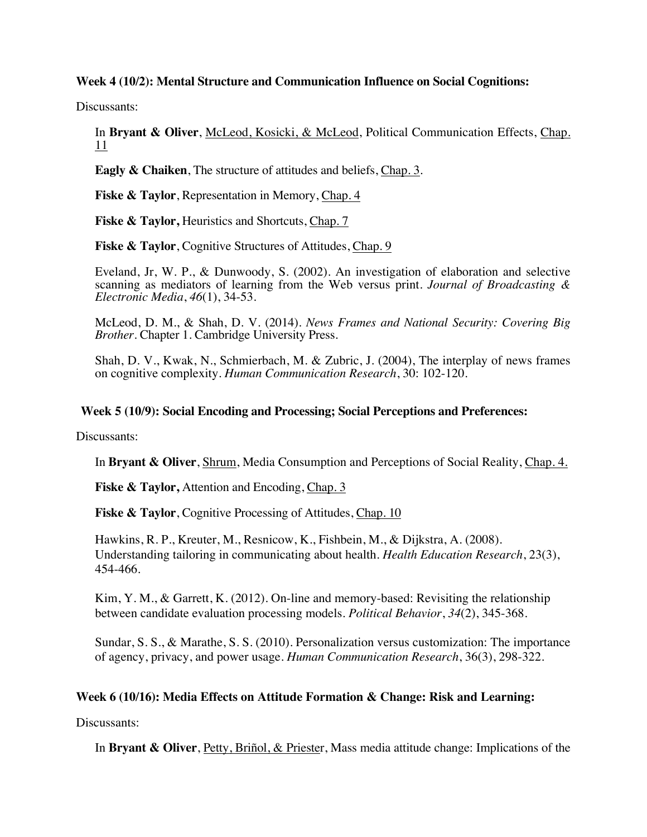### **Week 4 (10/2): Mental Structure and Communication Influence on Social Cognitions:**

Discussants:

In **Bryant & Oliver**, McLeod, Kosicki, & McLeod, Political Communication Effects, Chap. 11

**Eagly & Chaiken**, The structure of attitudes and beliefs, Chap. 3.

**Fiske & Taylor**, Representation in Memory, Chap. 4

**Fiske & Taylor,** Heuristics and Shortcuts, Chap. 7

**Fiske & Taylor**, Cognitive Structures of Attitudes, Chap. 9

Eveland, Jr, W. P., & Dunwoody, S. (2002). An investigation of elaboration and selective scanning as mediators of learning from the Web versus print. *Journal of Broadcasting & Electronic Media*, *46*(1), 34-53.

McLeod, D. M., & Shah, D. V. (2014). *News Frames and National Security: Covering Big Brother*. Chapter 1. Cambridge University Press.

Shah, D. V., Kwak, N., Schmierbach, M. & Zubric, J. (2004), The interplay of news frames on cognitive complexity. *Human Communication Research*, 30: 102-120.

### **Week 5 (10/9): Social Encoding and Processing; Social Perceptions and Preferences:**

Discussants:

In **Bryant & Oliver**, Shrum, Media Consumption and Perceptions of Social Reality, Chap. 4.

**Fiske & Taylor, Attention and Encoding, Chap. 3** 

**Fiske & Taylor, Cognitive Processing of Attitudes, Chap. 10** 

Hawkins, R. P., Kreuter, M., Resnicow, K., Fishbein, M., & Dijkstra, A. (2008). Understanding tailoring in communicating about health. *Health Education Research*, 23(3), 454-466.

Kim, Y. M., & Garrett, K. (2012). On-line and memory-based: Revisiting the relationship between candidate evaluation processing models. *Political Behavior*, *34*(2), 345-368.

Sundar, S. S., & Marathe, S. S. (2010). Personalization versus customization: The importance of agency, privacy, and power usage. *Human Communication Research*, 36(3), 298-322.

## **Week 6 (10/16): Media Effects on Attitude Formation & Change: Risk and Learning:**

Discussants:

In **Bryant & Oliver**, Petty, Briñol, & Priester, Mass media attitude change: Implications of the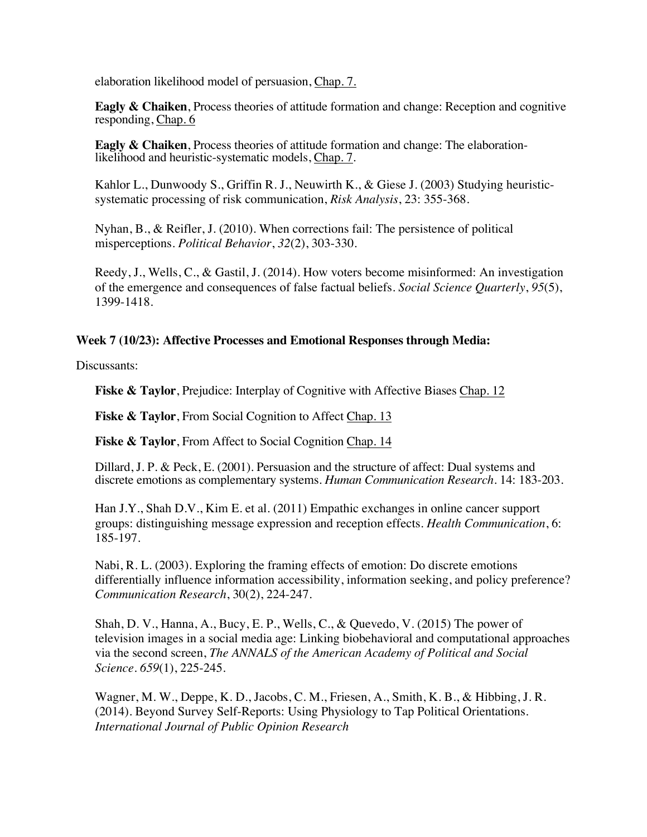elaboration likelihood model of persuasion, Chap. 7.

**Eagly & Chaiken**, Process theories of attitude formation and change: Reception and cognitive responding, Chap. 6

**Eagly & Chaiken**, Process theories of attitude formation and change: The elaboration-likelihood and heuristic-systematic models, Chap. 7.

Kahlor L., Dunwoody S., Griffin R. J., Neuwirth K., & Giese J. (2003) Studying heuristicsystematic processing of risk communication, *Risk Analysis*, 23: 355-368.

Nyhan, B., & Reifler, J. (2010). When corrections fail: The persistence of political misperceptions. *Political Behavior*, *32*(2), 303-330.

Reedy, J., Wells, C., & Gastil, J. (2014). How voters become misinformed: An investigation of the emergence and consequences of false factual beliefs. *Social Science Quarterly*, *95*(5), 1399-1418.

# **Week 7 (10/23): Affective Processes and Emotional Responses through Media:**

Discussants:

**Fiske & Taylor**, Prejudice: Interplay of Cognitive with Affective Biases Chap. 12

**Fiske & Taylor**, From Social Cognition to Affect Chap. 13

**Fiske & Taylor**, From Affect to Social Cognition Chap. 14

Dillard, J. P. & Peck, E. (2001). Persuasion and the structure of affect: Dual systems and discrete emotions as complementary systems. *Human Communication Research*. 14: 183-203.

Han J.Y., Shah D.V., Kim E. et al. (2011) Empathic exchanges in online cancer support groups: distinguishing message expression and reception effects. *Health Communication*, 6: 185-197.

Nabi, R. L. (2003). Exploring the framing effects of emotion: Do discrete emotions differentially influence information accessibility, information seeking, and policy preference? *Communication Research*, 30(2), 224-247.

Shah, D. V., Hanna, A., Bucy, E. P., Wells, C., & Quevedo, V. (2015) The power of television images in a social media age: Linking biobehavioral and computational approaches via the second screen, *The ANNALS of the American Academy of Political and Social Science*. *659*(1), 225-245.

Wagner, M. W., Deppe, K. D., Jacobs, C. M., Friesen, A., Smith, K. B., & Hibbing, J. R. (2014). Beyond Survey Self-Reports: Using Physiology to Tap Political Orientations. *International Journal of Public Opinion Research*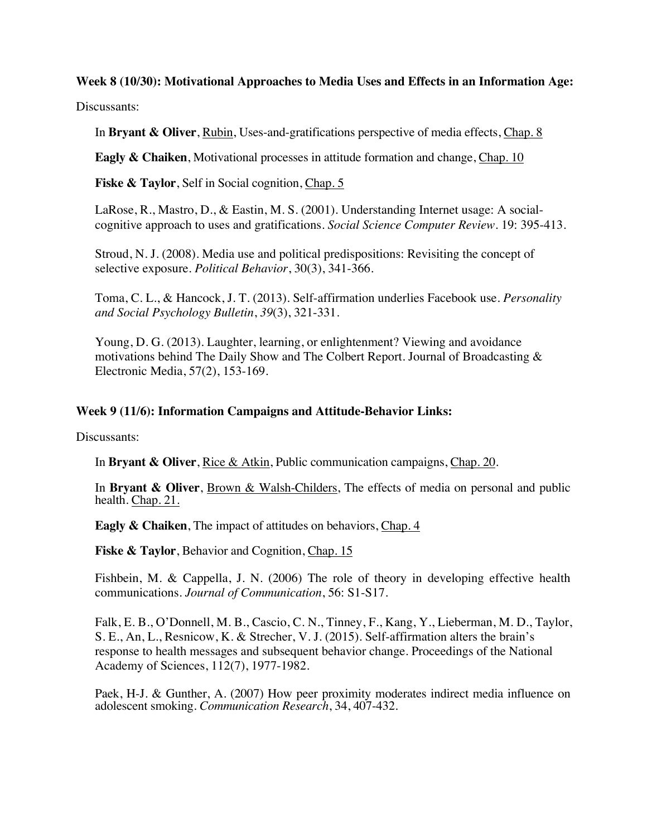# **Week 8 (10/30): Motivational Approaches to Media Uses and Effects in an Information Age:**

Discussants:

In **Bryant & Oliver**, Rubin, Uses-and-gratifications perspective of media effects, Chap. 8

**Eagly & Chaiken**, Motivational processes in attitude formation and change, Chap. 10

Fiske & Taylor, Self in Social cognition, Chap. 5

LaRose, R., Mastro, D., & Eastin, M. S. (2001). Understanding Internet usage: A socialcognitive approach to uses and gratifications. *Social Science Computer Review.* 19: 395-413.

Stroud, N. J. (2008). Media use and political predispositions: Revisiting the concept of selective exposure. *Political Behavior*, 30(3), 341-366.

Toma, C. L., & Hancock, J. T. (2013). Self-affirmation underlies Facebook use. *Personality and Social Psychology Bulletin*, *39*(3), 321-331.

Young, D. G. (2013). Laughter, learning, or enlightenment? Viewing and avoidance motivations behind The Daily Show and The Colbert Report. Journal of Broadcasting & Electronic Media, 57(2), 153-169.

### **Week 9 (11/6): Information Campaigns and Attitude-Behavior Links:**

Discussants:

In **Bryant & Oliver**, Rice & Atkin, Public communication campaigns, Chap. 20.

In **Bryant & Oliver**, Brown & Walsh-Childers, The effects of media on personal and public health. Chap. 21.

**Eagly & Chaiken**, The impact of attitudes on behaviors, Chap. 4

**Fiske & Taylor**, Behavior and Cognition, Chap. 15

Fishbein, M. & Cappella, J. N. (2006) The role of theory in developing effective health communications. *Journal of Communication*, 56: S1-S17.

Falk, E. B., O'Donnell, M. B., Cascio, C. N., Tinney, F., Kang, Y., Lieberman, M. D., Taylor, S. E., An, L., Resnicow, K. & Strecher, V. J. (2015). Self-affirmation alters the brain's response to health messages and subsequent behavior change. Proceedings of the National Academy of Sciences, 112(7), 1977-1982.

Paek, H-J. & Gunther, A. (2007) How peer proximity moderates indirect media influence on adolescent smoking. *Communication Research*, 34, 407-432.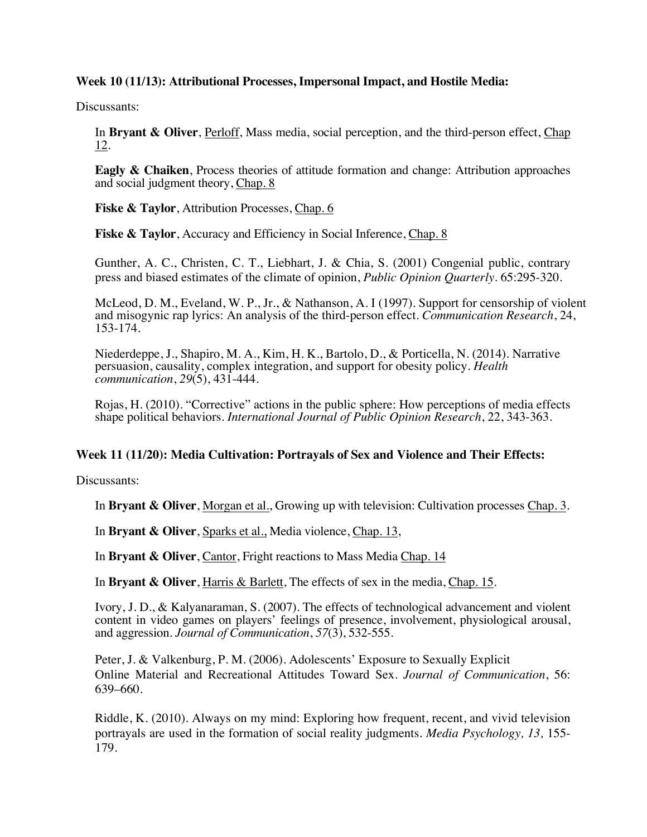## **Week 10 (11/13): Attributional Processes, Impersonal Impact, and Hostile Media:**

Discussants:

In **Bryant & Oliver**, Perloff, Mass media, social perception, and the third-person effect, Chap 12.

**Eagly & Chaiken**, Process theories of attitude formation and change: Attribution approaches and social judgment theory, Chap. 8

**Fiske & Taylor**, Attribution Processes, Chap. 6

**Fiske & Taylor**, Accuracy and Efficiency in Social Inference, Chap. 8

Gunther, A. C., Christen, C. T., Liebhart, J. & Chia, S. (2001) Congenial public, contrary press and biased estimates of the climate of opinion, *Public Opinion Quarterly*. 65:295-320.

McLeod, D. M., Eveland, W. P., Jr., & Nathanson, A. I (1997). Support for censorship of violent and misogynic rap lyrics: An analysis of the third-person effect. *Communication Research*, 24, 153-174.

Niederdeppe, J., Shapiro, M. A., Kim, H. K., Bartolo, D., & Porticella, N. (2014). Narrative persuasion, causality, complex integration, and support for obesity policy. *Health communication*, *29*(5), 431-444.

Rojas, H. (2010). "Corrective" actions in the public sphere: How perceptions of media effects shape political behaviors. *International Journal of Public Opinion Research*, 22, 343-363.

## **Week 11 (11/20): Media Cultivation: Portrayals of Sex and Violence and Their Effects:**

Discussants:

In **Bryant & Oliver**, Morgan et al., Growing up with television: Cultivation processes Chap. 3.

In **Bryant & Oliver**, Sparks et al., Media violence, Chap. 13,

In **Bryant & Oliver**, Cantor, Fright reactions to Mass Media Chap. 14

In **Bryant & Oliver**, Harris & Barlett, The effects of sex in the media, Chap. 15.

Ivory, J. D., & Kalyanaraman, S. (2007). The effects of technological advancement and violent content in video games on players' feelings of presence, involvement, physiological arousal, and aggression. *Journal of Communication*, *57*(3), 532-555.

Peter, J. & Valkenburg, P. M. (2006). Adolescents' Exposure to Sexually Explicit Online Material and Recreational Attitudes Toward Sex. *Journal of Communication*, 56: 639–660.

Riddle, K. (2010). Always on my mind: Exploring how frequent, recent, and vivid television portrayals are used in the formation of social reality judgments. *Media Psychology, 13,* 155- 179.